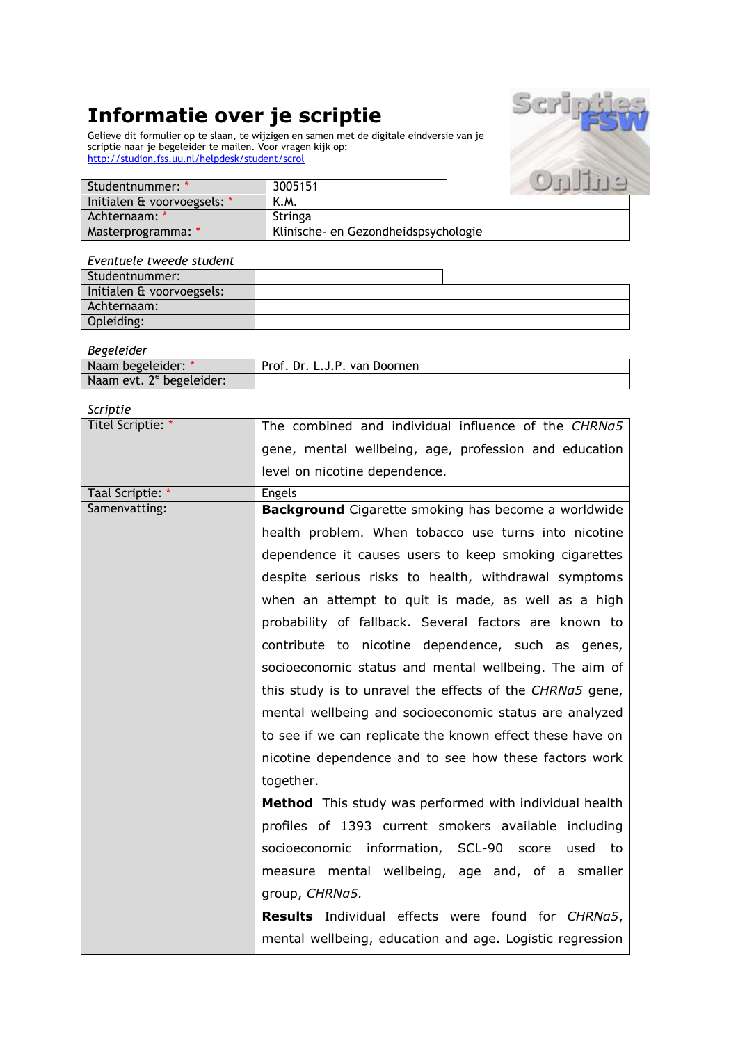# **Informatie over je scriptie**

Gelieve dit formulier op te slaan, te wijzigen en samen met de digitale eindversie van je scriptie naar je begeleider te mailen. Voor vragen kijk op: <http://studion.fss.uu.nl/helpdesk/student/scrol>



| Studentnummer: */           | 3005151                              |  |
|-----------------------------|--------------------------------------|--|
| Initialen & voorvoegsels: * | K.M.                                 |  |
| Achternaam: *               | Stringa                              |  |
| Masterprogramma: *          | Klinische- en Gezondheidspsychologie |  |

#### *Eventuele tweede student*

| Studentnummer:            |  |
|---------------------------|--|
| Initialen & voorvoegsels: |  |
| Achternaam:               |  |
| Opleiding:                |  |

*Begeleider*

| DESEIGIUEI                           |                              |
|--------------------------------------|------------------------------|
| Naam begeleider: *                   | Prof. Dr. L.J.P. van Doornen |
| Naam evt. 2 <sup>e</sup> begeleider: |                              |

*Scriptie*

| Titel Scriptie: * | The combined and individual influence of the CHRNa5        |  |  |  |
|-------------------|------------------------------------------------------------|--|--|--|
|                   | gene, mental wellbeing, age, profession and education      |  |  |  |
|                   | level on nicotine dependence.                              |  |  |  |
| Taal Scriptie: *  | <b>Engels</b>                                              |  |  |  |
| Samenvatting:     | <b>Background</b> Cigarette smoking has become a worldwide |  |  |  |
|                   | health problem. When tobacco use turns into nicotine       |  |  |  |
|                   | dependence it causes users to keep smoking cigarettes      |  |  |  |
|                   | despite serious risks to health, withdrawal symptoms       |  |  |  |
|                   | when an attempt to quit is made, as well as a high         |  |  |  |
|                   | probability of fallback. Several factors are known to      |  |  |  |
|                   | contribute to nicotine dependence, such as genes,          |  |  |  |
|                   | socioeconomic status and mental wellbeing. The aim of      |  |  |  |
|                   | this study is to unravel the effects of the CHRNa5 gene,   |  |  |  |
|                   | mental wellbeing and socioeconomic status are analyzed     |  |  |  |
|                   | to see if we can replicate the known effect these have on  |  |  |  |
|                   | nicotine dependence and to see how these factors work      |  |  |  |
|                   | together.                                                  |  |  |  |
|                   | Method This study was performed with individual health     |  |  |  |
|                   | profiles of 1393 current smokers available including       |  |  |  |
|                   | socioeconomic information, SCL-90 score<br>used to         |  |  |  |
|                   | measure mental wellbeing, age and, of a smaller            |  |  |  |
|                   | group, CHRNa5.                                             |  |  |  |
|                   | <b>Results</b> Individual effects were found for CHRNa5,   |  |  |  |
|                   | mental wellbeing, education and age. Logistic regression   |  |  |  |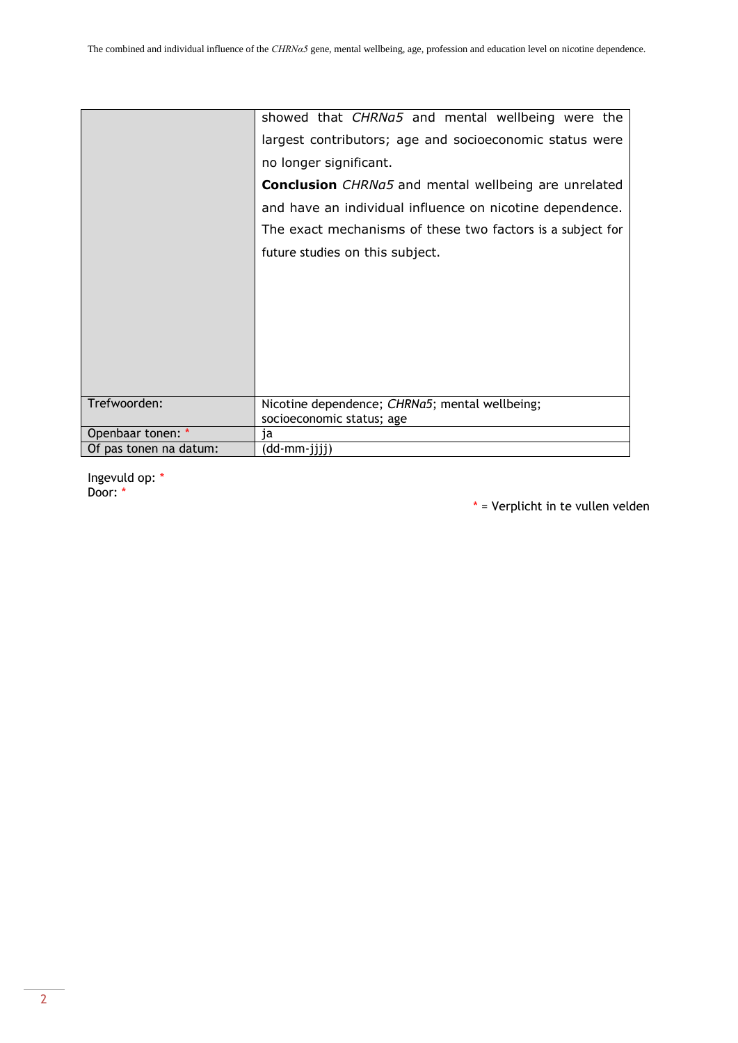|                        | showed that CHRNa5 and mental wellbeing were the                            |  |  |
|------------------------|-----------------------------------------------------------------------------|--|--|
|                        | largest contributors; age and socioeconomic status were                     |  |  |
|                        | no longer significant.                                                      |  |  |
|                        | <b>Conclusion</b> CHRNa5 and mental wellbeing are unrelated                 |  |  |
|                        | and have an individual influence on nicotine dependence.                    |  |  |
|                        | The exact mechanisms of these two factors is a subject for                  |  |  |
|                        | future studies on this subject.                                             |  |  |
|                        |                                                                             |  |  |
|                        |                                                                             |  |  |
|                        |                                                                             |  |  |
|                        |                                                                             |  |  |
|                        |                                                                             |  |  |
|                        |                                                                             |  |  |
| Trefwoorden:           | Nicotine dependence; CHRNa5; mental wellbeing;<br>socioeconomic status; age |  |  |
| Openbaar tonen: *      | ia                                                                          |  |  |
| Of pas tonen na datum: | (dd-mm-jjjj)                                                                |  |  |

Ingevuld op: \* Door: \*

\* = Verplicht in te vullen velden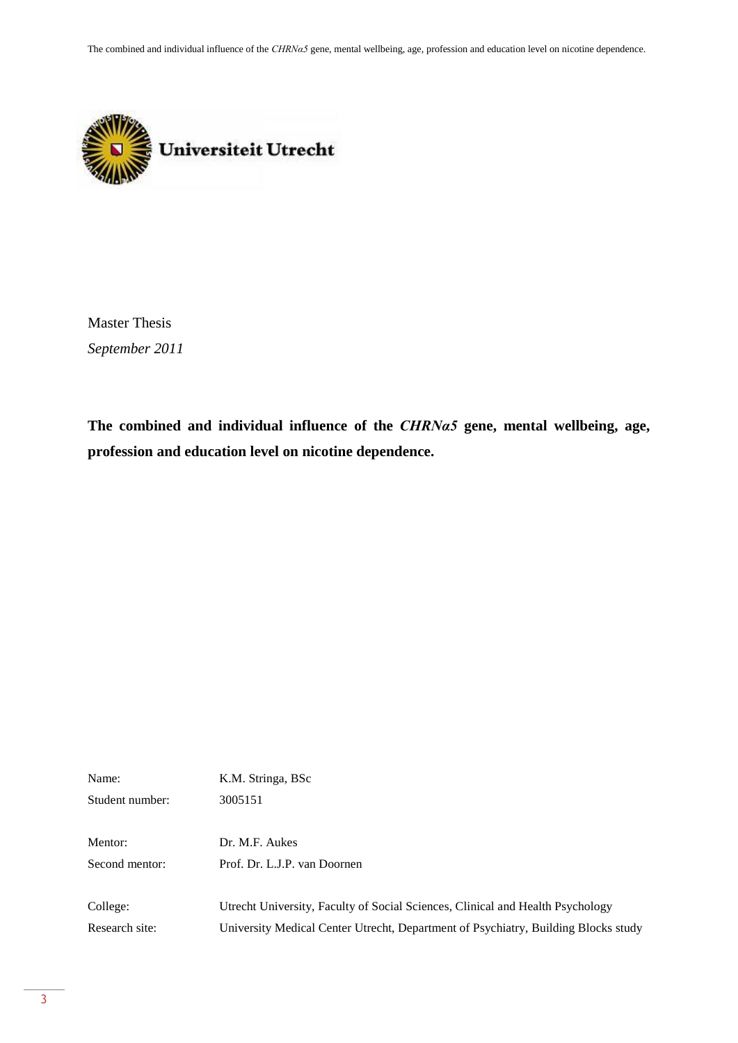The combined and individual influence of the *CHRNα5* gene, mental wellbeing, age, profession and education level on nicotine dependence.



Master Thesis *September 2011*

**The combined and individual influence of the** *CHRNα5* **gene, mental wellbeing, age, profession and education level on nicotine dependence.**

| Name:           | K.M. Stringa, BSc                                                                  |
|-----------------|------------------------------------------------------------------------------------|
| Student number: | 3005151                                                                            |
| Mentor:         | Dr. M.F. Aukes                                                                     |
| Second mentor:  | Prof. Dr. L.J.P. van Doornen                                                       |
| College:        | Utrecht University, Faculty of Social Sciences, Clinical and Health Psychology     |
| Research site:  | University Medical Center Utrecht, Department of Psychiatry, Building Blocks study |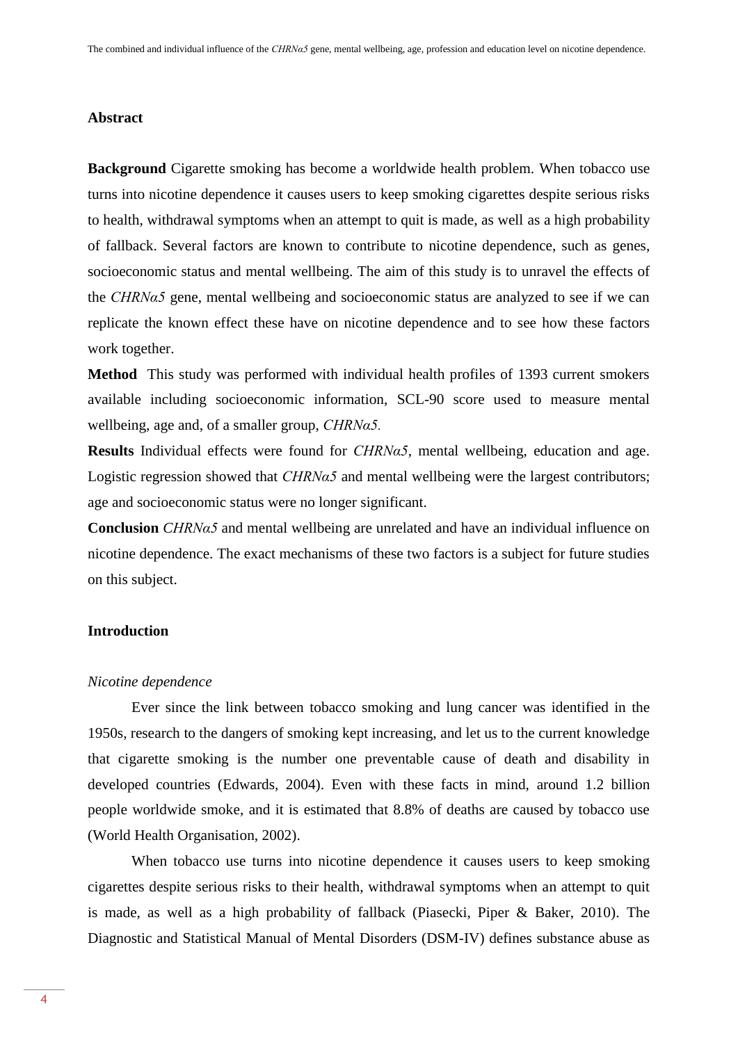#### **Abstract**

**Background** Cigarette smoking has become a worldwide health problem. When tobacco use turns into nicotine dependence it causes users to keep smoking cigarettes despite serious risks to health, withdrawal symptoms when an attempt to quit is made, as well as a high probability of fallback. Several factors are known to contribute to nicotine dependence, such as genes, socioeconomic status and mental wellbeing. The aim of this study is to unravel the effects of the *CHRNα5* gene, mental wellbeing and socioeconomic status are analyzed to see if we can replicate the known effect these have on nicotine dependence and to see how these factors work together.

**Method** This study was performed with individual health profiles of 1393 current smokers available including socioeconomic information, SCL-90 score used to measure mental wellbeing, age and, of a smaller group, *CHRNα5.*

**Results** Individual effects were found for *CHRNα5*, mental wellbeing, education and age. Logistic regression showed that *CHRNα5* and mental wellbeing were the largest contributors; age and socioeconomic status were no longer significant.

**Conclusion** *CHRNα5* and mental wellbeing are unrelated and have an individual influence on nicotine dependence. The exact mechanisms of these two factors is a subject for future studies on this subject.

# **Introduction**

#### *Nicotine dependence*

Ever since the link between tobacco smoking and lung cancer was identified in the 1950s, research to the dangers of smoking kept increasing, and let us to the current knowledge that cigarette smoking is the number one preventable cause of death and disability in developed countries (Edwards, 2004). Even with these facts in mind, around 1.2 billion people worldwide smoke, and it is estimated that 8.8% of deaths are caused by tobacco use (World Health Organisation, 2002).

When tobacco use turns into nicotine dependence it causes users to keep smoking cigarettes despite serious risks to their health, withdrawal symptoms when an attempt to quit is made, as well as a high probability of fallback (Piasecki, Piper & Baker, 2010). The Diagnostic and Statistical Manual of Mental Disorders (DSM-IV) defines substance abuse as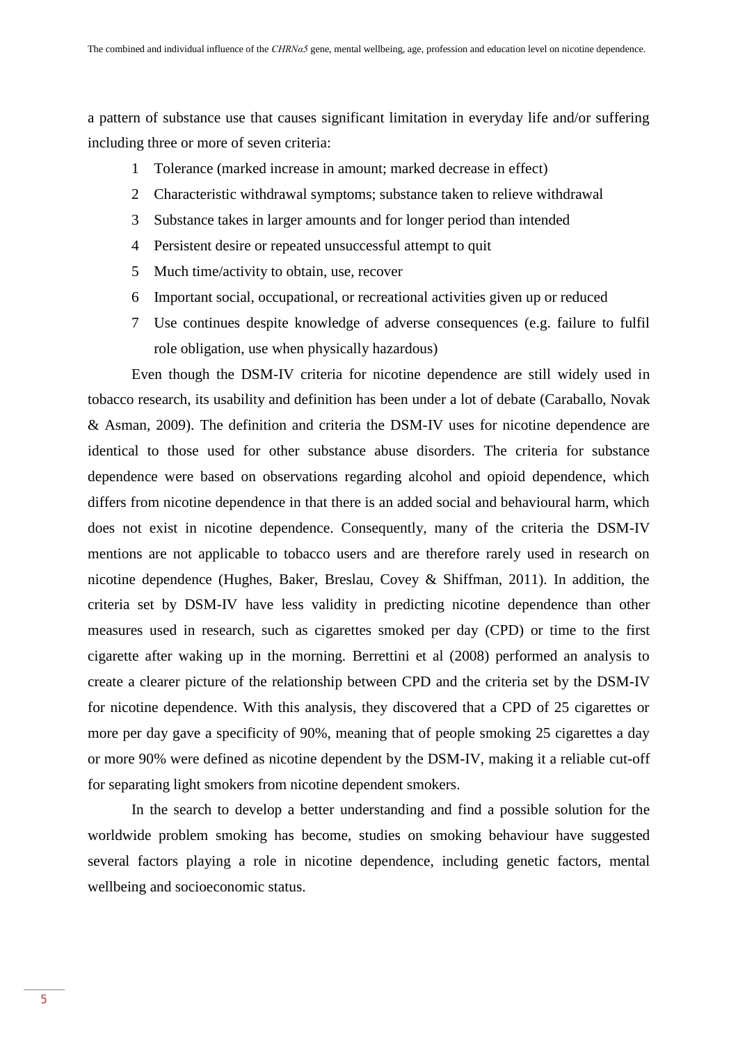a pattern of substance use that causes significant limitation in everyday life and/or suffering including three or more of seven criteria:

- 1 Tolerance (marked increase in amount; marked decrease in effect)
- 2 Characteristic withdrawal symptoms; substance taken to relieve withdrawal
- 3 Substance takes in larger amounts and for longer period than intended
- 4 Persistent desire or repeated unsuccessful attempt to quit
- 5 Much time/activity to obtain, use, recover
- 6 Important social, occupational, or recreational activities given up or reduced
- 7 Use continues despite knowledge of adverse consequences (e.g. failure to fulfil role obligation, use when physically hazardous)

Even though the DSM-IV criteria for nicotine dependence are still widely used in tobacco research, its usability and definition has been under a lot of debate (Caraballo, Novak & Asman, 2009). The definition and criteria the DSM-IV uses for nicotine dependence are identical to those used for other substance abuse disorders. The criteria for substance dependence were based on observations regarding alcohol and opioid dependence, which differs from nicotine dependence in that there is an added social and behavioural harm, which does not exist in nicotine dependence. Consequently, many of the criteria the DSM-IV mentions are not applicable to tobacco users and are therefore rarely used in research on nicotine dependence (Hughes, Baker, Breslau, Covey & Shiffman, 2011). In addition, the criteria set by DSM-IV have less validity in predicting nicotine dependence than other measures used in research, such as cigarettes smoked per day (CPD) or time to the first cigarette after waking up in the morning. Berrettini et al (2008) performed an analysis to create a clearer picture of the relationship between CPD and the criteria set by the DSM-IV for nicotine dependence. With this analysis, they discovered that a CPD of 25 cigarettes or more per day gave a specificity of 90%, meaning that of people smoking 25 cigarettes a day or more 90% were defined as nicotine dependent by the DSM-IV, making it a reliable cut-off for separating light smokers from nicotine dependent smokers.

In the search to develop a better understanding and find a possible solution for the worldwide problem smoking has become, studies on smoking behaviour have suggested several factors playing a role in nicotine dependence, including genetic factors, mental wellbeing and socioeconomic status.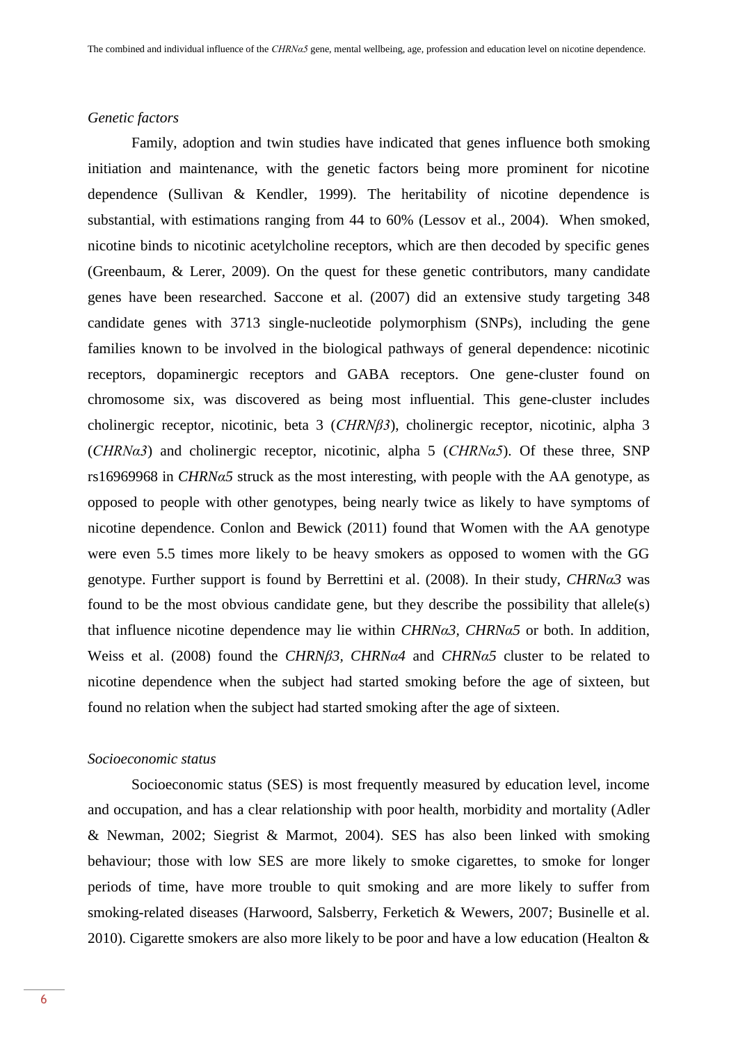#### *Genetic factors*

Family, adoption and twin studies have indicated that genes influence both smoking initiation and maintenance, with the genetic factors being more prominent for nicotine dependence (Sullivan & Kendler, 1999). The heritability of nicotine dependence is substantial, with estimations ranging from 44 to 60% (Lessov et al., 2004). When smoked, nicotine binds to nicotinic acetylcholine receptors, which are then decoded by specific genes (Greenbaum, & Lerer, 2009). On the quest for these genetic contributors, many candidate genes have been researched. Saccone et al. (2007) did an extensive study targeting 348 candidate genes with 3713 single-nucleotide polymorphism (SNPs), including the gene families known to be involved in the biological pathways of general dependence: nicotinic receptors, dopaminergic receptors and GABA receptors. One gene-cluster found on chromosome six, was discovered as being most influential. This gene-cluster includes cholinergic receptor, nicotinic, beta 3 (*CHRNβ3*), cholinergic receptor, nicotinic, alpha 3 (*CHRNα3*) and cholinergic receptor, nicotinic, alpha 5 (*CHRNα5*). Of these three, SNP rs16969968 in *CHRNα5* struck as the most interesting, with people with the AA genotype, as opposed to people with other genotypes, being nearly twice as likely to have symptoms of nicotine dependence. Conlon and Bewick (2011) found that Women with the AA genotype were even 5.5 times more likely to be heavy smokers as opposed to women with the GG genotype. Further support is found by Berrettini et al. (2008). In their study, *CHRNα3* was found to be the most obvious candidate gene, but they describe the possibility that allele(s) that influence nicotine dependence may lie within *CHRNα3, CHRNα5* or both. In addition, Weiss et al. (2008) found the *CHRNβ3, CHRNα4* and *CHRNα5* cluster to be related to nicotine dependence when the subject had started smoking before the age of sixteen, but found no relation when the subject had started smoking after the age of sixteen.

#### *Socioeconomic status*

Socioeconomic status (SES) is most frequently measured by education level, income and occupation, and has a clear relationship with poor health, morbidity and mortality (Adler & Newman, 2002; Siegrist & Marmot, 2004). SES has also been linked with smoking behaviour; those with low SES are more likely to smoke cigarettes, to smoke for longer periods of time, have more trouble to quit smoking and are more likely to suffer from smoking-related diseases (Harwoord, Salsberry, Ferketich & Wewers, 2007; Businelle et al. 2010). Cigarette smokers are also more likely to be poor and have a low education (Healton &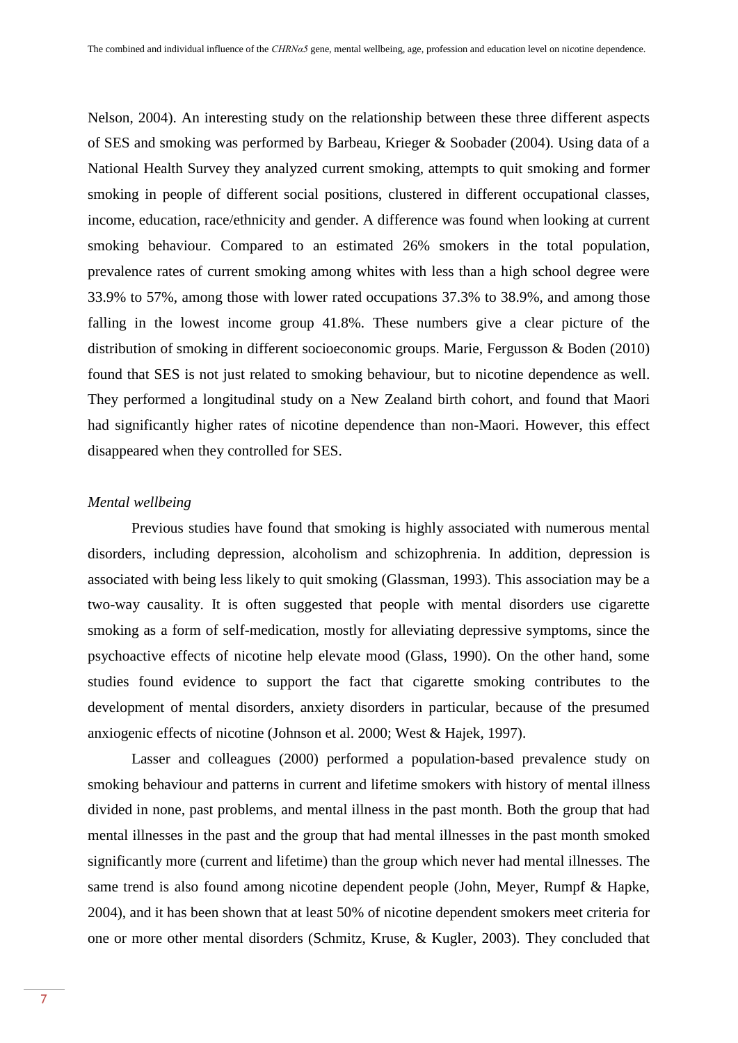Nelson, 2004). An interesting study on the relationship between these three different aspects of SES and smoking was performed by Barbeau, Krieger & Soobader (2004). Using data of a National Health Survey they analyzed current smoking, attempts to quit smoking and former smoking in people of different social positions, clustered in different occupational classes, income, education, race/ethnicity and gender. A difference was found when looking at current smoking behaviour. Compared to an estimated 26% smokers in the total population, prevalence rates of current smoking among whites with less than a high school degree were 33.9% to 57%, among those with lower rated occupations 37.3% to 38.9%, and among those falling in the lowest income group 41.8%. These numbers give a clear picture of the distribution of smoking in different socioeconomic groups. Marie, Fergusson & Boden (2010) found that SES is not just related to smoking behaviour, but to nicotine dependence as well. They performed a longitudinal study on a New Zealand birth cohort, and found that Maori had significantly higher rates of nicotine dependence than non-Maori. However, this effect disappeared when they controlled for SES.

## *Mental wellbeing*

Previous studies have found that smoking is highly associated with numerous mental disorders, including depression, alcoholism and schizophrenia. In addition, depression is associated with being less likely to quit smoking (Glassman, 1993). This association may be a two-way causality. It is often suggested that people with mental disorders use cigarette smoking as a form of self-medication, mostly for alleviating depressive symptoms, since the psychoactive effects of nicotine help elevate mood (Glass, 1990). On the other hand, some studies found evidence to support the fact that cigarette smoking contributes to the development of mental disorders, anxiety disorders in particular, because of the presumed anxiogenic effects of nicotine (Johnson et al. 2000; West & Hajek, 1997).

Lasser and colleagues (2000) performed a population-based prevalence study on smoking behaviour and patterns in current and lifetime smokers with history of mental illness divided in none, past problems, and mental illness in the past month. Both the group that had mental illnesses in the past and the group that had mental illnesses in the past month smoked significantly more (current and lifetime) than the group which never had mental illnesses. The same trend is also found among nicotine dependent people (John, Meyer, Rumpf & Hapke, 2004), and it has been shown that at least 50% of nicotine dependent smokers meet criteria for one or more other mental disorders (Schmitz, Kruse, & Kugler, 2003). They concluded that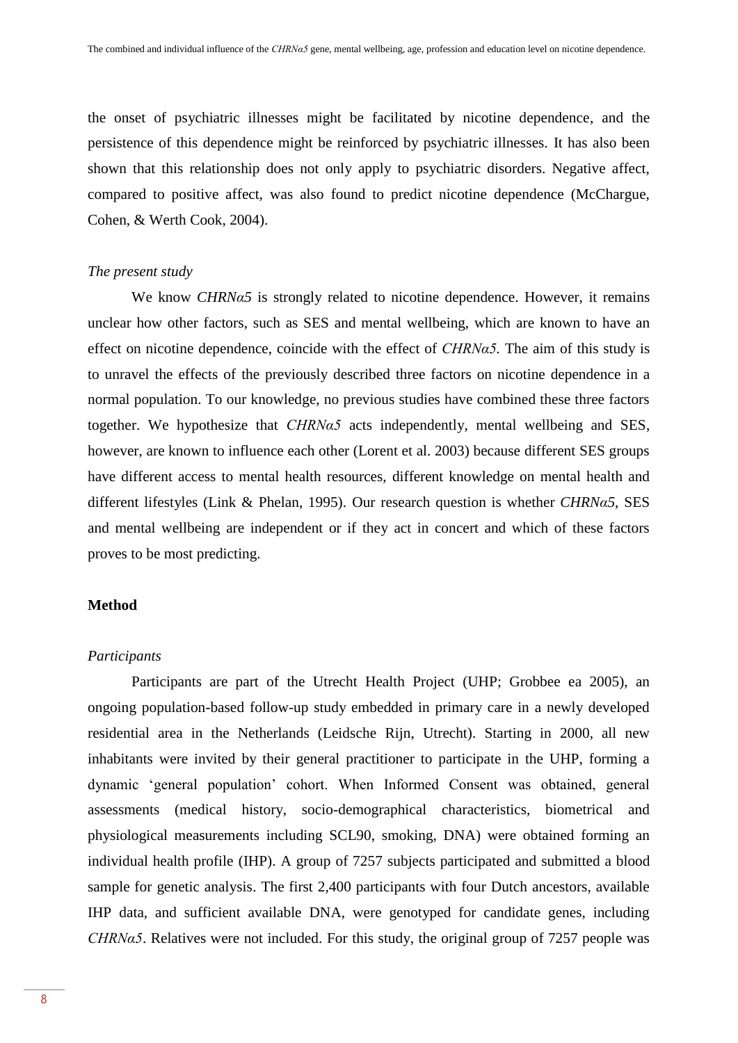the onset of psychiatric illnesses might be facilitated by nicotine dependence, and the persistence of this dependence might be reinforced by psychiatric illnesses. It has also been shown that this relationship does not only apply to psychiatric disorders. Negative affect, compared to positive affect, was also found to predict nicotine dependence (McChargue, Cohen, & Werth Cook, 2004).

## *The present study*

We know *CHRNα5* is strongly related to nicotine dependence. However, it remains unclear how other factors, such as SES and mental wellbeing, which are known to have an effect on nicotine dependence, coincide with the effect of *CHRNα5.* The aim of this study is to unravel the effects of the previously described three factors on nicotine dependence in a normal population. To our knowledge, no previous studies have combined these three factors together. We hypothesize that *CHRNα5* acts independently, mental wellbeing and SES, however, are known to influence each other (Lorent et al. 2003) because different SES groups have different access to mental health resources, different knowledge on mental health and different lifestyles (Link & Phelan, 1995). Our research question is whether *CHRNα5*, SES and mental wellbeing are independent or if they act in concert and which of these factors proves to be most predicting.

## **Method**

## *Participants*

Participants are part of the Utrecht Health Project (UHP; Grobbee ea 2005), an ongoing population-based follow-up study embedded in primary care in a newly developed residential area in the Netherlands (Leidsche Rijn, Utrecht). Starting in 2000, all new inhabitants were invited by their general practitioner to participate in the UHP, forming a dynamic 'general population' cohort. When Informed Consent was obtained, general assessments (medical history, socio-demographical characteristics, biometrical and physiological measurements including SCL90, smoking, DNA) were obtained forming an individual health profile (IHP). A group of 7257 subjects participated and submitted a blood sample for genetic analysis. The first 2,400 participants with four Dutch ancestors, available IHP data, and sufficient available DNA, were genotyped for candidate genes, including *CHRNα5*. Relatives were not included. For this study, the original group of 7257 people was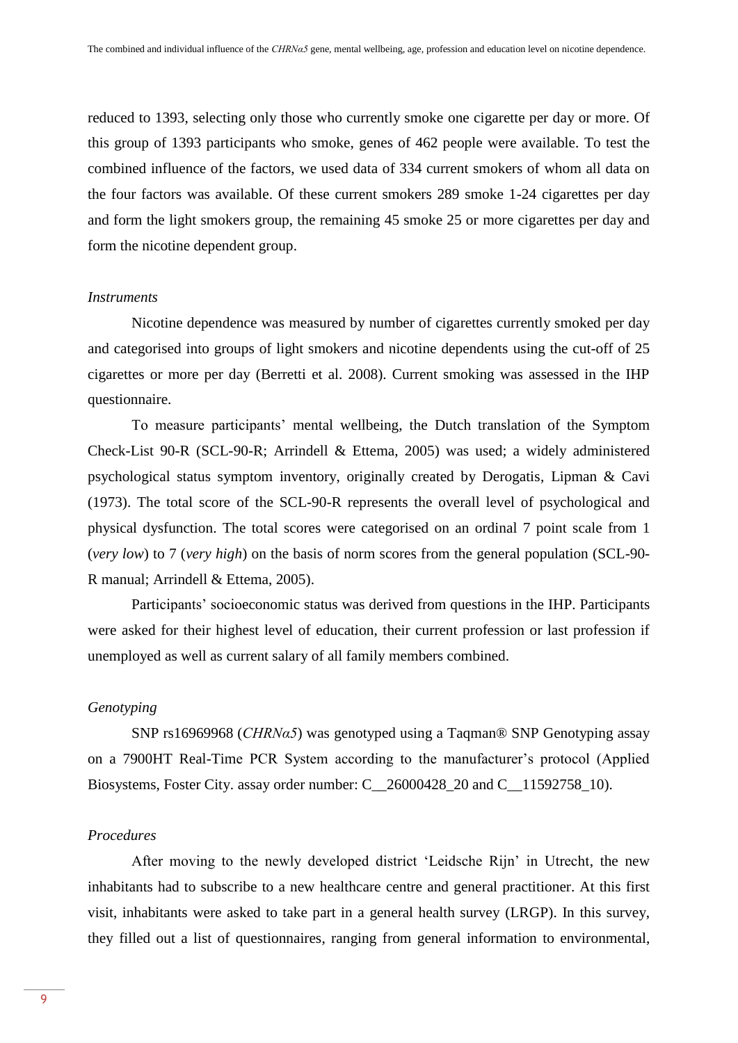reduced to 1393, selecting only those who currently smoke one cigarette per day or more. Of this group of 1393 participants who smoke, genes of 462 people were available. To test the combined influence of the factors, we used data of 334 current smokers of whom all data on the four factors was available. Of these current smokers 289 smoke 1-24 cigarettes per day and form the light smokers group, the remaining 45 smoke 25 or more cigarettes per day and form the nicotine dependent group.

#### *Instruments*

Nicotine dependence was measured by number of cigarettes currently smoked per day and categorised into groups of light smokers and nicotine dependents using the cut-off of 25 cigarettes or more per day (Berretti et al. 2008). Current smoking was assessed in the IHP questionnaire.

To measure participants' mental wellbeing, the Dutch translation of the Symptom Check-List 90-R (SCL-90-R; Arrindell & Ettema, 2005) was used; a widely administered psychological status symptom inventory, originally created by Derogatis, Lipman & Cavi (1973). The total score of the SCL-90-R represents the overall level of psychological and physical dysfunction. The total scores were categorised on an ordinal 7 point scale from 1 (*very low*) to 7 (*very high*) on the basis of norm scores from the general population (SCL-90- R manual; Arrindell & Ettema, 2005).

Participants' socioeconomic status was derived from questions in the IHP. Participants were asked for their highest level of education, their current profession or last profession if unemployed as well as current salary of all family members combined.

# *Genotyping*

SNP rs16969968 (*CHRNα5*) was genotyped using a Taqman® SNP Genotyping assay on a 7900HT Real-Time PCR System according to the manufacturer's protocol (Applied Biosystems, Foster City. assay order number: C\_26000428\_20 and C\_11592758\_10).

# *Procedures*

After moving to the newly developed district 'Leidsche Rijn' in Utrecht, the new inhabitants had to subscribe to a new healthcare centre and general practitioner. At this first visit, inhabitants were asked to take part in a general health survey (LRGP). In this survey, they filled out a list of questionnaires, ranging from general information to environmental,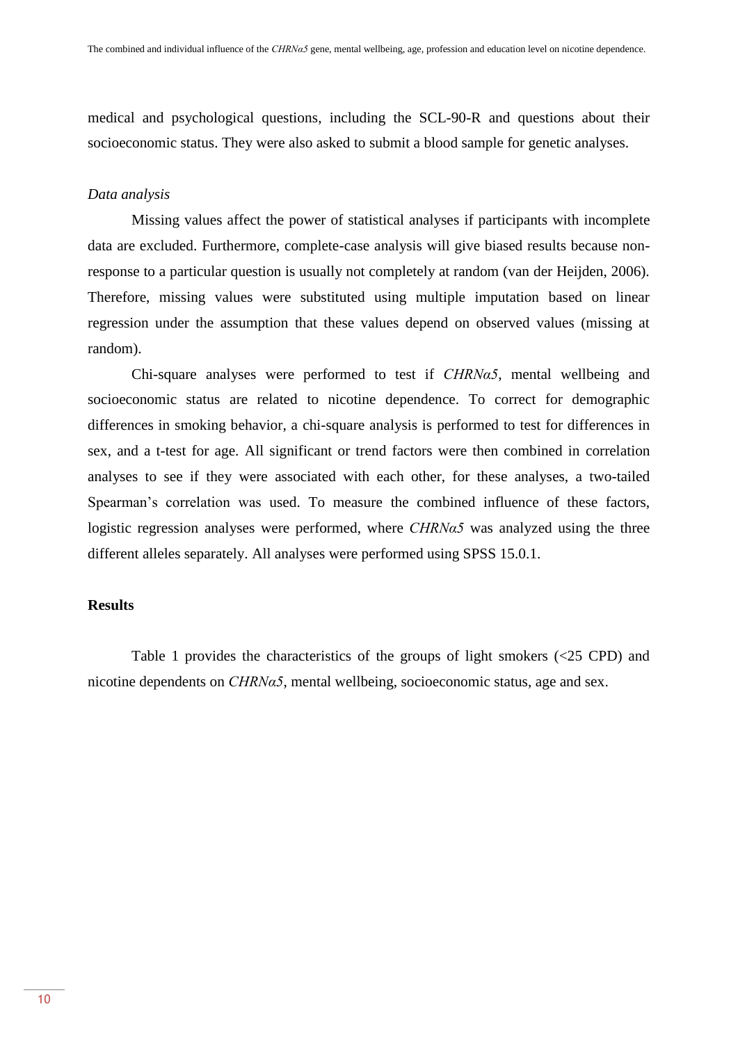medical and psychological questions, including the SCL-90-R and questions about their socioeconomic status. They were also asked to submit a blood sample for genetic analyses.

## *Data analysis*

Missing values affect the power of statistical analyses if participants with incomplete data are excluded. Furthermore, complete-case analysis will give biased results because nonresponse to a particular question is usually not completely at random (van der Heijden, 2006). Therefore, missing values were substituted using multiple imputation based on linear regression under the assumption that these values depend on observed values (missing at random).

Chi-square analyses were performed to test if *CHRNα5*, mental wellbeing and socioeconomic status are related to nicotine dependence. To correct for demographic differences in smoking behavior, a chi-square analysis is performed to test for differences in sex, and a t-test for age. All significant or trend factors were then combined in correlation analyses to see if they were associated with each other, for these analyses, a two-tailed Spearman's correlation was used. To measure the combined influence of these factors, logistic regression analyses were performed, where *CHRNα5* was analyzed using the three different alleles separately. All analyses were performed using SPSS 15.0.1.

# **Results**

Table 1 provides the characteristics of the groups of light smokers (<25 CPD) and nicotine dependents on *CHRNα5*, mental wellbeing, socioeconomic status, age and sex.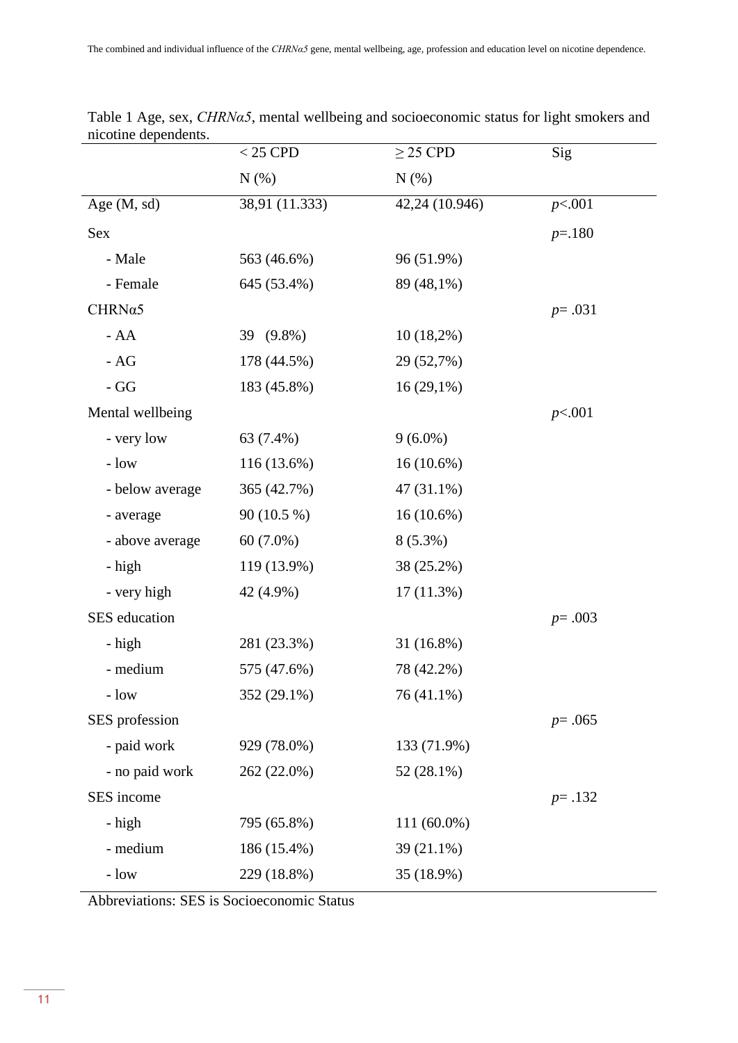|                  | $<25$ CPD      | $\geq$ 25 CPD  | Sig        |
|------------------|----------------|----------------|------------|
|                  | N(%)           | N(% )          |            |
| Age $(M, sd)$    | 38,91 (11.333) | 42,24 (10.946) | p<.001     |
| <b>Sex</b>       |                |                | $p = 180$  |
| - Male           | 563 (46.6%)    | 96 (51.9%)     |            |
| - Female         | 645 (53.4%)    | 89 (48,1%)     |            |
| $CHRN\alpha5$    |                |                | $p = .031$ |
| $- AA$           | 39 (9.8%)      | $10(18,2\%)$   |            |
| - $AG$           | 178 (44.5%)    | 29 (52,7%)     |            |
| - GG             | 183 (45.8%)    | $16(29,1\%)$   |            |
| Mental wellbeing |                |                | p<.001     |
| - very low       | 63 (7.4%)      | $9(6.0\%)$     |            |
| $-$ low          | 116 (13.6%)    | $16(10.6\%)$   |            |
| - below average  | 365 (42.7%)    | 47 (31.1%)     |            |
| - average        | 90 (10.5 %)    | $16(10.6\%)$   |            |
| - above average  | $60(7.0\%)$    | $8(5.3\%)$     |            |
| - high           | 119 (13.9%)    | 38 (25.2%)     |            |
| - very high      | 42 (4.9%)      | $17(11.3\%)$   |            |
| SES education    |                |                | $p = .003$ |
| - high           | 281 (23.3%)    | 31 (16.8%)     |            |
| - medium         | 575 (47.6%)    | 78 (42.2%)     |            |
| - low            | 352 (29.1%)    | 76 (41.1%)     |            |
| SES profession   |                |                | $p = .065$ |
| - paid work      | 929 (78.0%)    | 133 (71.9%)    |            |
| - no paid work   | 262 (22.0%)    | 52 (28.1%)     |            |
| SES income       |                |                | $p = .132$ |
| - high           | 795 (65.8%)    | 111 (60.0%)    |            |
| - medium         | 186 (15.4%)    | 39 (21.1%)     |            |
| $-$ low          | 229 (18.8%)    | 35 (18.9%)     |            |

Table 1 Age, sex, *CHRNα5*, mental wellbeing and socioeconomic status for light smokers and nicotine dependents.

Abbreviations: SES is Socioeconomic Status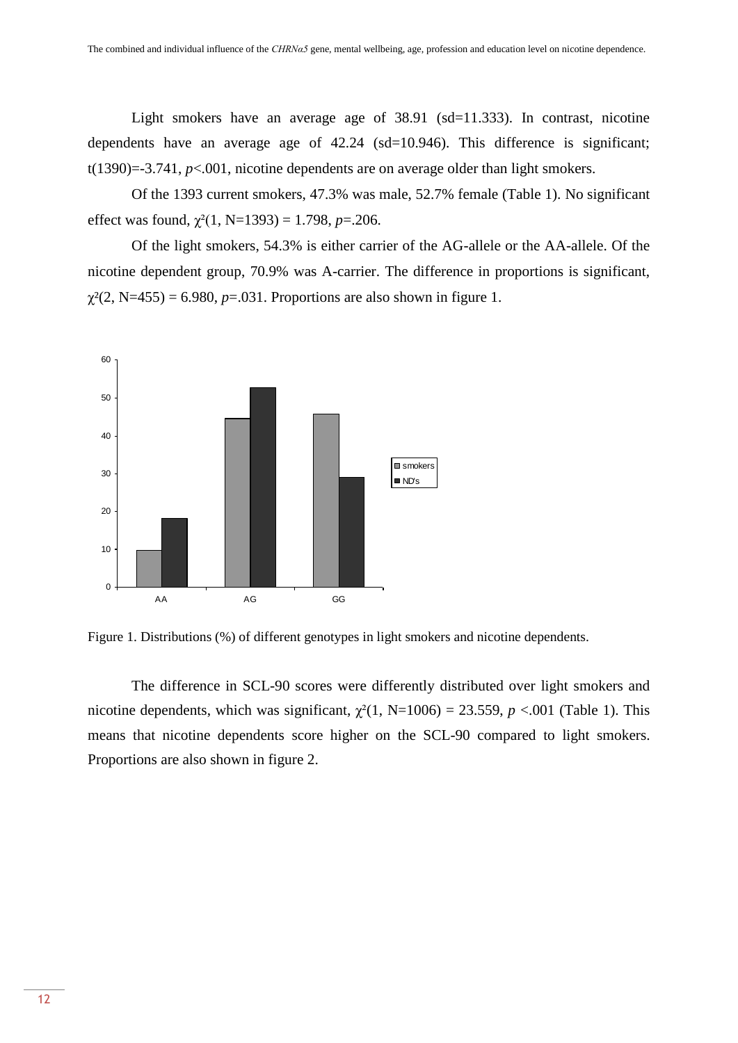Light smokers have an average age of 38.91 (sd=11.333). In contrast, nicotine dependents have an average age of 42.24 (sd=10.946). This difference is significant;  $t(1390)=3.741$ ,  $p<.001$ , nicotine dependents are on average older than light smokers.

Of the 1393 current smokers, 47.3% was male, 52.7% female (Table 1). No significant effect was found,  $\chi^2(1, N=1393) = 1.798$ , *p*=.206.

Of the light smokers, 54.3% is either carrier of the AG-allele or the AA-allele. Of the nicotine dependent group, 70.9% was A-carrier. The difference in proportions is significant,  $\gamma^2(2, N=455) = 6.980, p=.031$ . Proportions are also shown in figure 1.



Figure 1. Distributions (%) of different genotypes in light smokers and nicotine dependents.

The difference in SCL-90 scores were differently distributed over light smokers and nicotine dependents, which was significant,  $\chi^2(1, N=1006) = 23.559$ ,  $p < .001$  (Table 1). This means that nicotine dependents score higher on the SCL-90 compared to light smokers. Proportions are also shown in figure 2.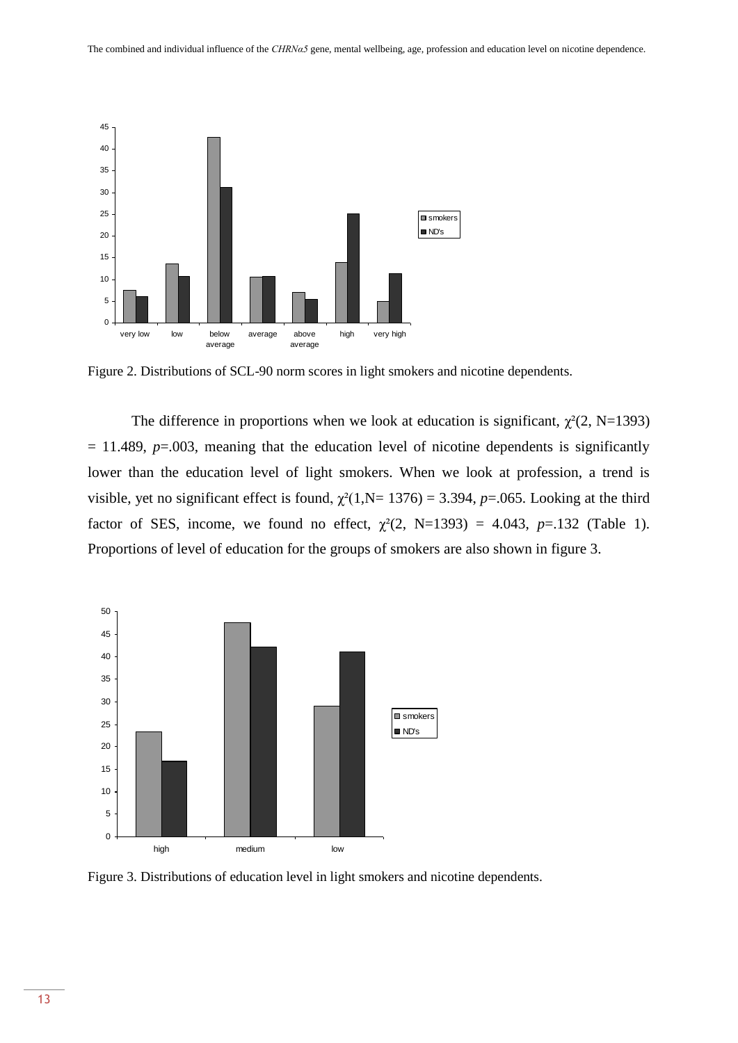

Figure 2. Distributions of SCL-90 norm scores in light smokers and nicotine dependents.

The difference in proportions when we look at education is significant,  $\chi^2(2, N=1393)$  $= 11.489$ ,  $p=0.003$ , meaning that the education level of nicotine dependents is significantly lower than the education level of light smokers. When we look at profession, a trend is visible, yet no significant effect is found,  $\chi^2(1, N= 1376) = 3.394$ , *p*=.065. Looking at the third factor of SES, income, we found no effect,  $\chi^2(2, N=1393) = 4.043$ ,  $p=.132$  (Table 1). Proportions of level of education for the groups of smokers are also shown in figure 3.



Figure 3. Distributions of education level in light smokers and nicotine dependents.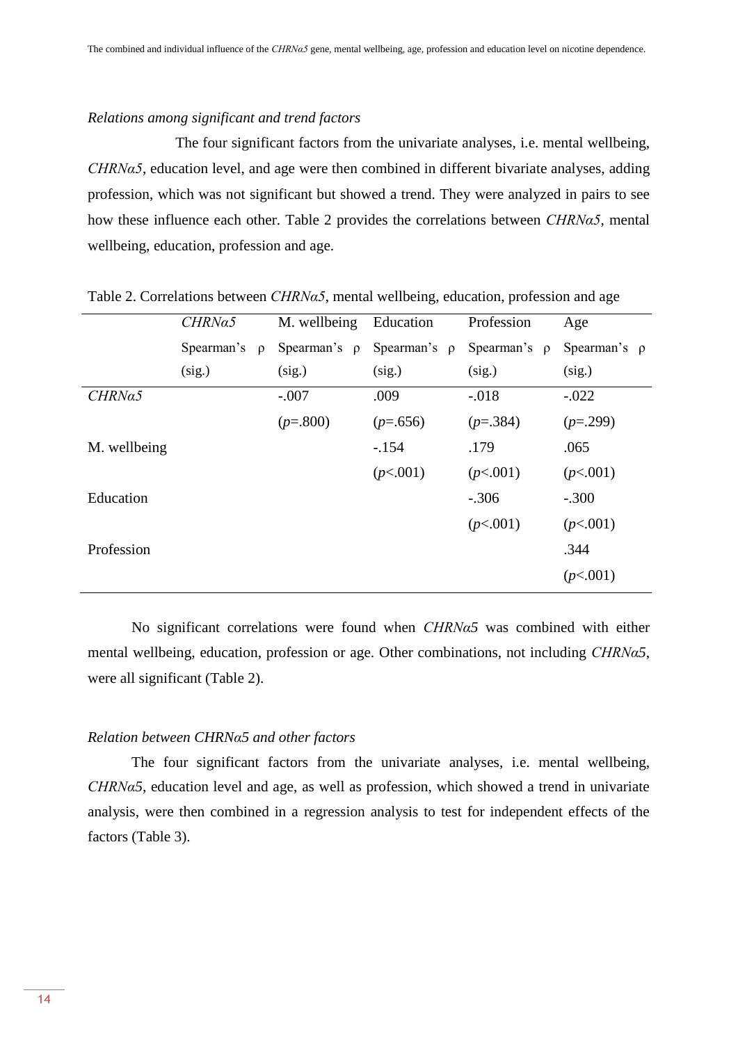## *Relations among significant and trend factors*

The four significant factors from the univariate analyses, i.e. mental wellbeing, *CHRNα5*, education level, and age were then combined in different bivariate analyses, adding profession, which was not significant but showed a trend. They were analyzed in pairs to see how these influence each other. Table 2 provides the correlations between *CHRNα5*, mental wellbeing, education, profession and age.

|              | CHRNa5                 | M. wellbeing      | Education         | Profession        | Age               |
|--------------|------------------------|-------------------|-------------------|-------------------|-------------------|
|              | Spearman's<br>$\Omega$ | Spearman's $\rho$ | Spearman's $\rho$ | Spearman's $\rho$ | Spearman's $\rho$ |
|              | (sig.)                 | (sig.)            | (sig.)            | (sig.)            | (sig.)            |
| CHRNa5       |                        | $-.007$           | .009              | $-.018$           | $-.022$           |
|              |                        | $(p=.800)$        | $(p=.656)$        | $(p=.384)$        | $(p=.299)$        |
| M. wellbeing |                        |                   | $-.154$           | .179              | .065              |
|              |                        |                   | (p<.001)          | (p<.001)          | (p<.001)          |
| Education    |                        |                   |                   | $-.306$           | $-.300$           |
|              |                        |                   |                   | (p<.001)          | (p<.001)          |
| Profession   |                        |                   |                   |                   | .344              |
|              |                        |                   |                   |                   | (p<.001)          |
|              |                        |                   |                   |                   |                   |

Table 2. Correlations between *CHRNα5*, mental wellbeing, education, profession and age

No significant correlations were found when *CHRNα5* was combined with either mental wellbeing, education, profession or age. Other combinations, not including *CHRNα5*, were all significant (Table 2).

## *Relation between CHRNα5 and other factors*

The four significant factors from the univariate analyses, i.e. mental wellbeing, *CHRNα5*, education level and age, as well as profession, which showed a trend in univariate analysis, were then combined in a regression analysis to test for independent effects of the factors (Table 3).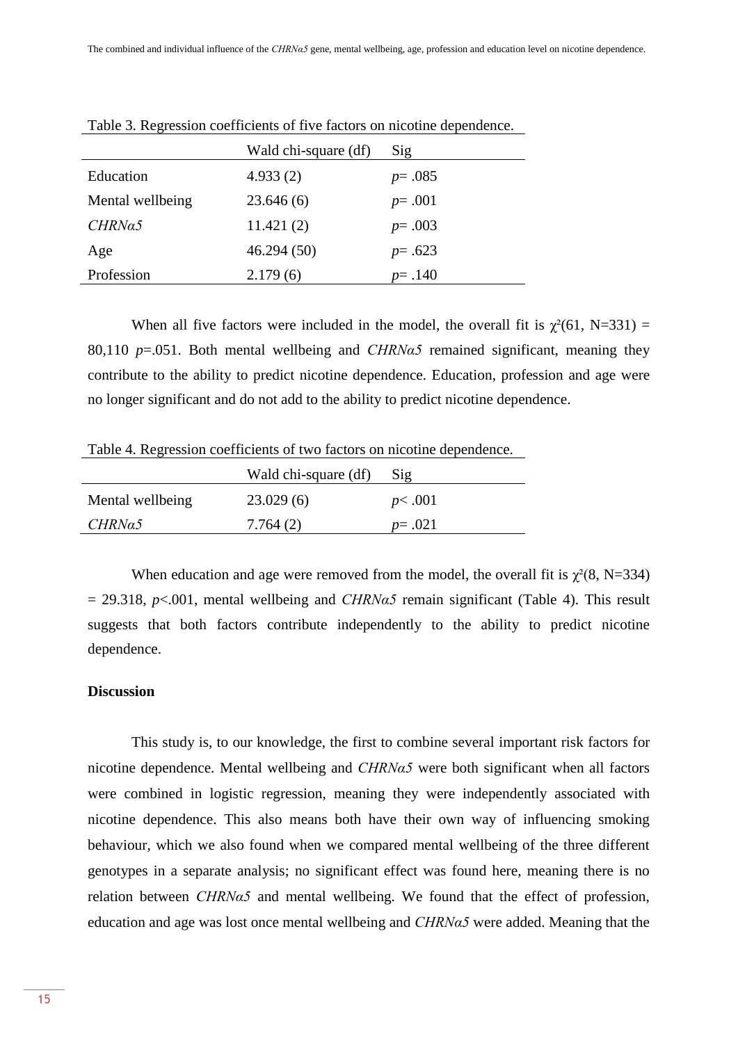|                  | Wald chi-square (df) | Sig        |
|------------------|----------------------|------------|
| Education        | 4.933(2)             | $p = .085$ |
| Mental wellbeing | 23.646(6)            | $p = .001$ |
| CHRNa5           | 11.421(2)            | $p = .003$ |
| Age              | 46.294(50)           | $p = .623$ |
| Profession       | 2.179(6)             | $p = .140$ |

Table 3. Regression coefficients of five factors on nicotine dependence.

When all five factors were included in the model, the overall fit is  $\gamma^2(61, N=331)$  = 80,110 *p*=.051. Both mental wellbeing and *CHRNα5* remained significant, meaning they contribute to the ability to predict nicotine dependence. Education, profession and age were no longer significant and do not add to the ability to predict nicotine dependence.

Table 4. Regression coefficients of two factors on nicotine dependence.

|                  | Wald chi-square (df) | Sig        |
|------------------|----------------------|------------|
| Mental wellbeing | 23.029(6)            | p<.001     |
| CHRNa5           | 7.764(2)             | $p = .021$ |

When education and age were removed from the model, the overall fit is  $\chi^2(8, N=334)$  $= 29.318$ ,  $p \le 0.001$ , mental wellbeing and *CHRNa5* remain significant (Table 4). This result suggests that both factors contribute independently to the ability to predict nicotine dependence.

# **Discussion**

This study is, to our knowledge, the first to combine several important risk factors for nicotine dependence. Mental wellbeing and *CHRNα5* were both significant when all factors were combined in logistic regression, meaning they were independently associated with nicotine dependence. This also means both have their own way of influencing smoking behaviour, which we also found when we compared mental wellbeing of the three different genotypes in a separate analysis; no significant effect was found here, meaning there is no relation between *CHRNα5* and mental wellbeing. We found that the effect of profession, education and age was lost once mental wellbeing and *CHRNα5* were added. Meaning that the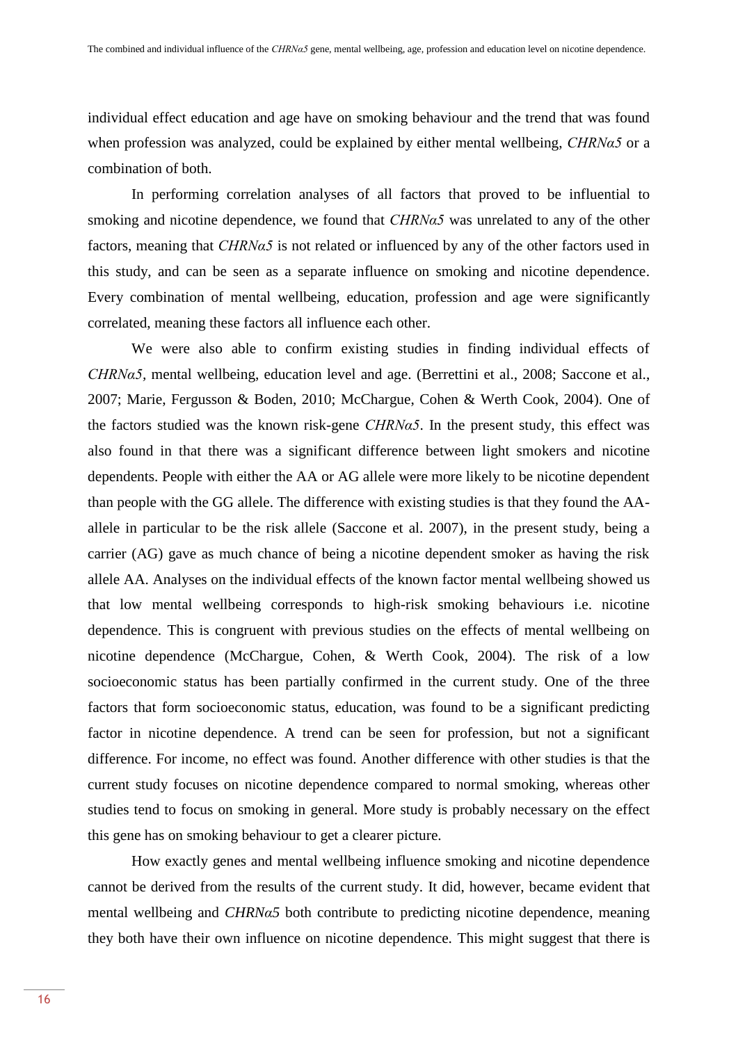individual effect education and age have on smoking behaviour and the trend that was found when profession was analyzed, could be explained by either mental wellbeing, *CHRNα5* or a combination of both.

In performing correlation analyses of all factors that proved to be influential to smoking and nicotine dependence, we found that *CHRNα5* was unrelated to any of the other factors, meaning that *CHRNα5* is not related or influenced by any of the other factors used in this study, and can be seen as a separate influence on smoking and nicotine dependence. Every combination of mental wellbeing, education, profession and age were significantly correlated, meaning these factors all influence each other.

We were also able to confirm existing studies in finding individual effects of *CHRNα5,* mental wellbeing, education level and age. (Berrettini et al., 2008; Saccone et al., 2007; Marie, Fergusson & Boden, 2010; McChargue, Cohen & Werth Cook, 2004). One of the factors studied was the known risk-gene *CHRNα5*. In the present study, this effect was also found in that there was a significant difference between light smokers and nicotine dependents. People with either the AA or AG allele were more likely to be nicotine dependent than people with the GG allele. The difference with existing studies is that they found the AAallele in particular to be the risk allele (Saccone et al. 2007), in the present study, being a carrier (AG) gave as much chance of being a nicotine dependent smoker as having the risk allele AA. Analyses on the individual effects of the known factor mental wellbeing showed us that low mental wellbeing corresponds to high-risk smoking behaviours i.e. nicotine dependence. This is congruent with previous studies on the effects of mental wellbeing on nicotine dependence (McChargue, Cohen, & Werth Cook, 2004). The risk of a low socioeconomic status has been partially confirmed in the current study. One of the three factors that form socioeconomic status, education, was found to be a significant predicting factor in nicotine dependence. A trend can be seen for profession, but not a significant difference. For income, no effect was found. Another difference with other studies is that the current study focuses on nicotine dependence compared to normal smoking, whereas other studies tend to focus on smoking in general. More study is probably necessary on the effect this gene has on smoking behaviour to get a clearer picture.

How exactly genes and mental wellbeing influence smoking and nicotine dependence cannot be derived from the results of the current study. It did, however, became evident that mental wellbeing and *CHRNα5* both contribute to predicting nicotine dependence, meaning they both have their own influence on nicotine dependence. This might suggest that there is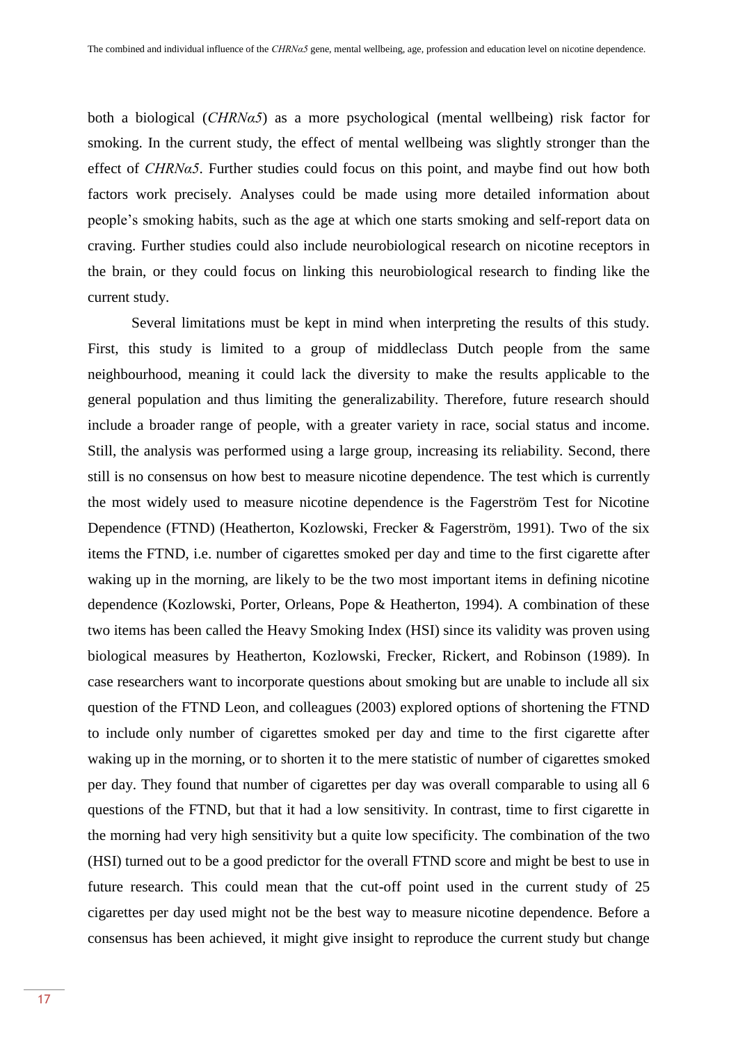both a biological (*CHRNα5*) as a more psychological (mental wellbeing) risk factor for smoking. In the current study, the effect of mental wellbeing was slightly stronger than the effect of *CHRNα5*. Further studies could focus on this point, and maybe find out how both factors work precisely. Analyses could be made using more detailed information about people's smoking habits, such as the age at which one starts smoking and self-report data on craving. Further studies could also include neurobiological research on nicotine receptors in the brain, or they could focus on linking this neurobiological research to finding like the current study.

Several limitations must be kept in mind when interpreting the results of this study. First, this study is limited to a group of middleclass Dutch people from the same neighbourhood, meaning it could lack the diversity to make the results applicable to the general population and thus limiting the generalizability. Therefore, future research should include a broader range of people, with a greater variety in race, social status and income. Still, the analysis was performed using a large group, increasing its reliability. Second, there still is no consensus on how best to measure nicotine dependence. The test which is currently the most widely used to measure nicotine dependence is the Fagerström Test for Nicotine Dependence (FTND) (Heatherton, Kozlowski, Frecker & Fagerström, 1991). Two of the six items the FTND, i.e. number of cigarettes smoked per day and time to the first cigarette after waking up in the morning, are likely to be the two most important items in defining nicotine dependence (Kozlowski, Porter, Orleans, Pope & Heatherton, 1994). A combination of these two items has been called the Heavy Smoking Index (HSI) since its validity was proven using biological measures by Heatherton, Kozlowski, Frecker, Rickert, and Robinson (1989). In case researchers want to incorporate questions about smoking but are unable to include all six question of the FTND Leon, and colleagues (2003) explored options of shortening the FTND to include only number of cigarettes smoked per day and time to the first cigarette after waking up in the morning, or to shorten it to the mere statistic of number of cigarettes smoked per day. They found that number of cigarettes per day was overall comparable to using all 6 questions of the FTND, but that it had a low sensitivity. In contrast, time to first cigarette in the morning had very high sensitivity but a quite low specificity. The combination of the two (HSI) turned out to be a good predictor for the overall FTND score and might be best to use in future research. This could mean that the cut-off point used in the current study of 25 cigarettes per day used might not be the best way to measure nicotine dependence. Before a consensus has been achieved, it might give insight to reproduce the current study but change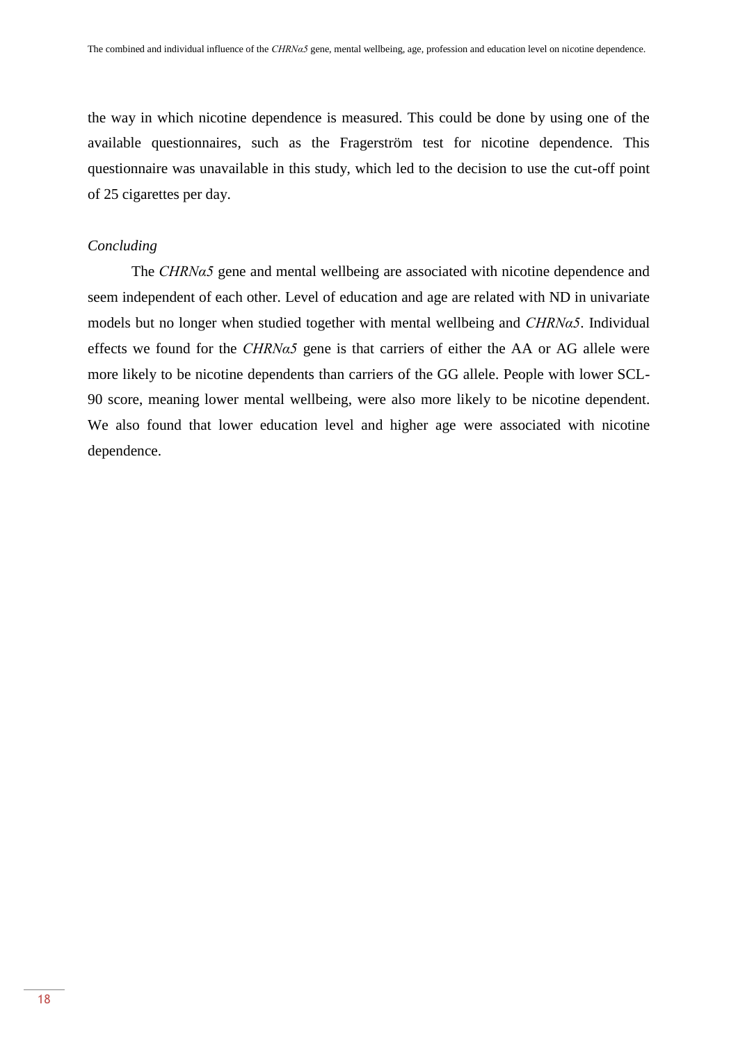the way in which nicotine dependence is measured. This could be done by using one of the available questionnaires, such as the Fragerström test for nicotine dependence. This questionnaire was unavailable in this study, which led to the decision to use the cut-off point of 25 cigarettes per day.

# *Concluding*

The *CHRNα5* gene and mental wellbeing are associated with nicotine dependence and seem independent of each other. Level of education and age are related with ND in univariate models but no longer when studied together with mental wellbeing and *CHRNα5*. Individual effects we found for the *CHRNα5* gene is that carriers of either the AA or AG allele were more likely to be nicotine dependents than carriers of the GG allele. People with lower SCL-90 score, meaning lower mental wellbeing, were also more likely to be nicotine dependent. We also found that lower education level and higher age were associated with nicotine dependence.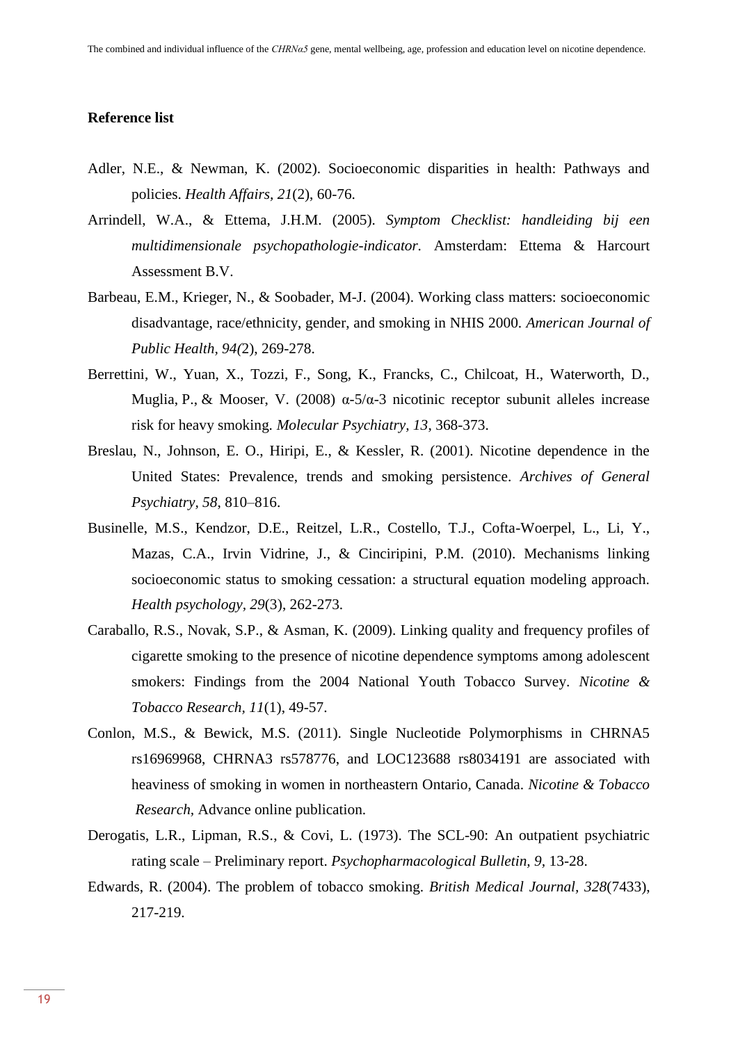## **Reference list**

- Adler, N.E., & Newman, K. (2002). Socioeconomic disparities in health: Pathways and policies. *Health Affairs, 21*(2), 60-76.
- Arrindell, W.A., & Ettema, J.H.M. (2005). *Symptom Checklist: handleiding bij een multidimensionale psychopathologie-indicator.* Amsterdam: Ettema & Harcourt Assessment B.V.
- Barbeau, E.M., Krieger, N., & Soobader, M-J. (2004). Working class matters: socioeconomic disadvantage, race/ethnicity, gender, and smoking in NHIS 2000. *American Journal of Public Health, 94(*2), 269-278.
- Berrettini, W., Yuan, X., Tozzi, F., Song, K., Francks, C., Chilcoat, H., Waterworth, D., Muglia, P., & Mooser, V. (2008)  $\alpha$ -5/ $\alpha$ -3 nicotinic receptor subunit alleles increase risk for heavy smoking. *Molecular Psychiatry, 13*, 368-373.
- Breslau, N., Johnson, E. O., Hiripi, E., & Kessler, R. (2001). Nicotine dependence in the United States: Prevalence, trends and smoking persistence. *Archives of General Psychiatry, 58*, 810–816.
- Businelle, M.S., Kendzor, D.E., Reitzel, L.R., Costello, T.J., Cofta-Woerpel, L., Li, Y., Mazas, C.A., Irvin Vidrine, J., & Cinciripini, P.M. (2010). Mechanisms linking socioeconomic status to smoking cessation: a structural equation modeling approach. *Health psychology, 29*(3), 262-273.
- Caraballo, R.S., Novak, S.P., & Asman, K. (2009). Linking quality and frequency profiles of cigarette smoking to the presence of nicotine dependence symptoms among adolescent smokers: Findings from the 2004 National Youth Tobacco Survey. *Nicotine & Tobacco Research, 11*(1), 49-57.
- Conlon, M.S., & Bewick, M.S. (2011). Single Nucleotide Polymorphisms in CHRNA5 rs16969968, CHRNA3 rs578776, and LOC123688 rs8034191 are associated with heaviness of smoking in women in northeastern Ontario, Canada. *Nicotine & Tobacco Research,* Advance online publication.
- Derogatis, L.R., Lipman, R.S., & Covi, L. (1973). The SCL-90: An outpatient psychiatric rating scale – Preliminary report. *Psychopharmacological Bulletin, 9,* 13-28.
- Edwards, R. (2004). The problem of tobacco smoking. *British Medical Journal, 328*(7433), 217-219.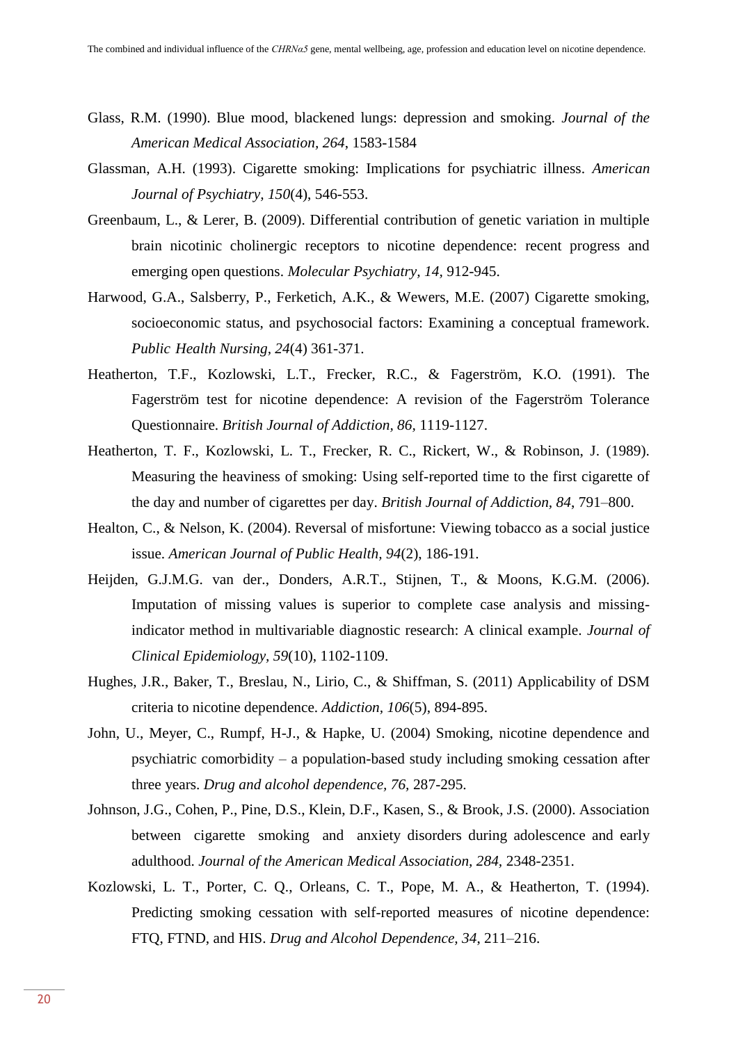- Glass, R.M. (1990). Blue mood, blackened lungs: depression and smoking. *Journal of the American Medical Association, 264*, 1583-1584
- Glassman, A.H. (1993). Cigarette smoking: Implications for psychiatric illness. *American Journal of Psychiatry, 150*(4), 546-553.
- Greenbaum, L., & Lerer, B. (2009). Differential contribution of genetic variation in multiple brain nicotinic cholinergic receptors to nicotine dependence: recent progress and emerging open questions. *Molecular Psychiatry, 14,* 912-945.
- Harwood, G.A., Salsberry, P., Ferketich, A.K., & Wewers, M.E. (2007) Cigarette smoking, socioeconomic status, and psychosocial factors: Examining a conceptual framework. *Public Health Nursing, 24*(4) 361-371.
- Heatherton, T.F., Kozlowski, L.T., Frecker, R.C., & Fagerström, K.O. (1991). The Fagerström test for nicotine dependence: A revision of the Fagerström Tolerance Questionnaire. *British Journal of Addiction, 86,* 1119-1127.
- Heatherton, T. F., Kozlowski, L. T., Frecker, R. C., Rickert, W., & Robinson, J. (1989). Measuring the heaviness of smoking: Using self-reported time to the first cigarette of the day and number of cigarettes per day. *British Journal of Addiction, 84*, 791–800.
- Healton, C., & Nelson, K. (2004). Reversal of misfortune: Viewing tobacco as a social justice issue. *American Journal of Public Health, 94*(2), 186-191.
- Heijden, G.J.M.G. van der., Donders, A.R.T., Stijnen, T., & Moons, K.G.M. (2006). Imputation of missing values is superior to complete case analysis and missingindicator method in multivariable diagnostic research: A clinical example. *Journal of Clinical Epidemiology, 59*(10), 1102-1109.
- Hughes, J.R., Baker, T., Breslau, N., Lirio, C., & Shiffman, S. (2011) Applicability of DSM criteria to nicotine dependence. *Addiction, 106*(5), 894-895.
- John, U., Meyer, C., Rumpf, H-J., & Hapke, U. (2004) Smoking, nicotine dependence and psychiatric comorbidity – a population-based study including smoking cessation after three years. *Drug and alcohol dependence, 76,* 287-295.
- Johnson, J.G., Cohen, P., Pine, D.S., Klein, D.F., Kasen, S., & Brook, J.S. (2000). Association between cigarette smoking and anxiety disorders during adolescence and early adulthood. *Journal of the American Medical Association, 284,* 2348-2351.
- Kozlowski, L. T., Porter, C. Q., Orleans, C. T., Pope, M. A., & Heatherton, T. (1994). Predicting smoking cessation with self-reported measures of nicotine dependence: FTQ, FTND, and HIS. *Drug and Alcohol Dependence, 34*, 211–216.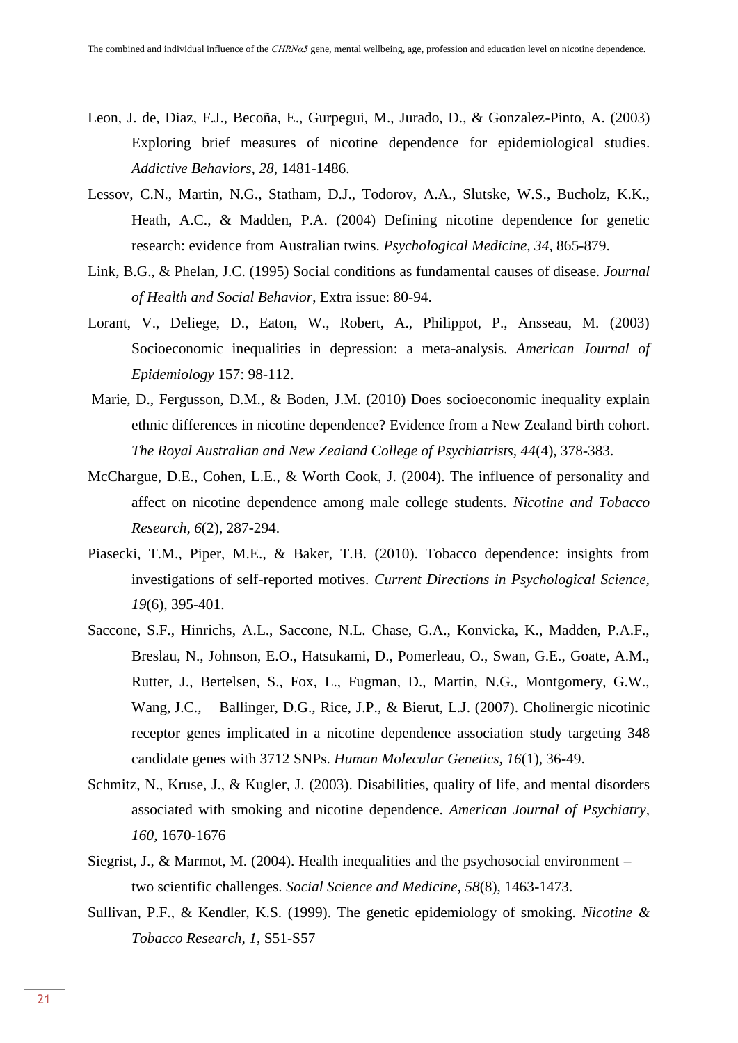- Leon, J. de, Diaz, F.J., Becoña, E., Gurpegui, M., Jurado, D., & Gonzalez-Pinto, A. (2003) Exploring brief measures of nicotine dependence for epidemiological studies. *Addictive Behaviors, 28,* 1481-1486.
- Lessov, C.N., Martin, N.G., Statham, D.J., Todorov, A.A., Slutske, W.S., Bucholz, K.K., Heath, A.C., & Madden, P.A. (2004) Defining nicotine dependence for genetic research: evidence from Australian twins. *Psychological Medicine, 34,* 865-879.
- Link, B.G., & Phelan, J.C. (1995) Social conditions as fundamental causes of disease. *Journal of Health and Social Behavior*, Extra issue: 80-94.
- Lorant, V., Deliege, D., Eaton, W., Robert, A., Philippot, P., Ansseau, M. (2003) Socioeconomic inequalities in depression: a meta-analysis. *American Journal of Epidemiology* 157: 98-112.
- Marie, D., Fergusson, D.M., & Boden, J.M. (2010) Does socioeconomic inequality explain ethnic differences in nicotine dependence? Evidence from a New Zealand birth cohort. *The Royal Australian and New Zealand College of Psychiatrists, 44*(4), 378-383.
- McChargue, D.E., Cohen, L.E., & Worth Cook, J. (2004). The influence of personality and affect on nicotine dependence among male college students. *Nicotine and Tobacco Research, 6*(2), 287-294.
- Piasecki, T.M., Piper, M.E., & Baker, T.B. (2010). Tobacco dependence: insights from investigations of self-reported motives. *Current Directions in Psychological Science, 19*(6), 395-401.
- Saccone, S.F., Hinrichs, A.L., Saccone, N.L. Chase, G.A., Konvicka, K., Madden, P.A.F., Breslau, N., Johnson, E.O., Hatsukami, D., Pomerleau, O., Swan, G.E., Goate, A.M., Rutter, J., Bertelsen, S., Fox, L., Fugman, D., Martin, N.G., Montgomery, G.W., Wang, J.C., Ballinger, D.G., Rice, J.P., & Bierut, L.J. (2007). Cholinergic nicotinic receptor genes implicated in a nicotine dependence association study targeting 348 candidate genes with 3712 SNPs. *Human Molecular Genetics, 16*(1), 36-49.
- Schmitz, N., Kruse, J., & Kugler, J. (2003). Disabilities, quality of life, and mental disorders associated with smoking and nicotine dependence. *American Journal of Psychiatry, 160,* 1670-1676
- Siegrist, J., & Marmot, M.  $(2004)$ . Health inequalities and the psychosocial environment two scientific challenges. *Social Science and Medicine, 58*(8), 1463-1473.
- Sullivan, P.F., & Kendler, K.S. (1999). The genetic epidemiology of smoking. *Nicotine & Tobacco Research, 1*, S51-S57